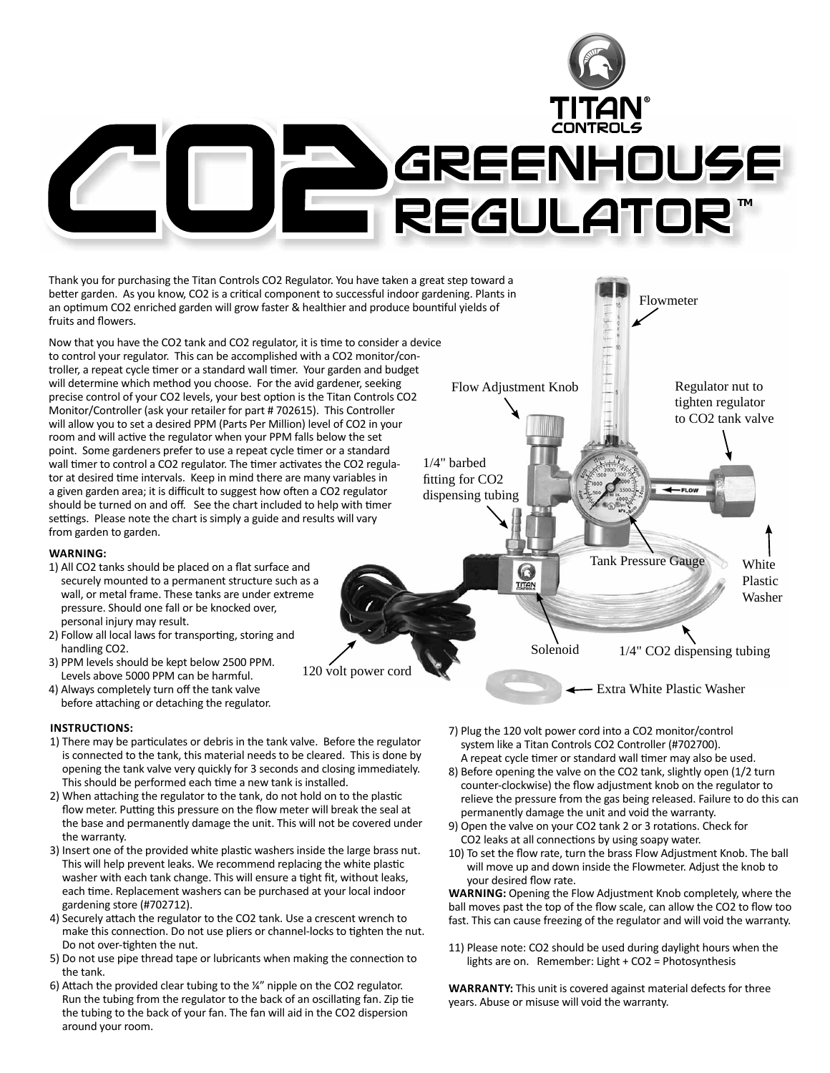

Thank you for purchasing the Titan Controls CO2 Regulator. You have taken a great step toward a better garden. As you know, CO2 is a critical component to successful indoor gardening. Plants in an optimum CO2 enriched garden will grow faster & healthier and produce bountiful yields of fruits and flowers.

Now that you have the CO2 tank and CO2 regulator, it is time to consider a device to control your regulator. This can be accomplished with a CO2 monitor/controller, a repeat cycle timer or a standard wall timer. Your garden and budget will determine which method you choose. For the avid gardener, seeking precise control of your CO2 levels, your best option is the Titan Controls CO2 Monitor/Controller (ask your retailer for part # 702615). This Controller will allow you to set a desired PPM (Parts Per Million) level of CO2 in your room and will active the regulator when your PPM falls below the set point. Some gardeners prefer to use a repeat cycle timer or a standard wall timer to control a CO2 regulator. The timer activates the CO2 regulator at desired time intervals. Keep in mind there are many variables in a given garden area; it is difficult to suggest how often a CO2 regulator should be turned on and off. See the chart included to help with timer settings. Please note the chart is simply a guide and results will vary from garden to garden.

### **WARNING:**

- 1) All CO2 tanks should be placed on a flat surface and securely mounted to a permanent structure such as a wall, or metal frame. These tanks are under extreme pressure. Should one fall or be knocked over, personal injury may result.
- 2) Follow all local laws for transporting, storing and handling CO2.
- 3) PPM levels should be kept below 2500 PPM. Levels above 5000 PPM can be harmful.
- 4) Always completely turn off the tank valve before attaching or detaching the regulator.

### **INSTRUCTIONS:**

1) There may be particulates or debris in the tank valve. Before the regulator is connected to the tank, this material needs to be cleared. This is done by opening the tank valve very quickly for 3 seconds and closing immediately. This should be performed each time a new tank is installed.

120 volt power cord

- 2) When attaching the regulator to the tank, do not hold on to the plastic flow meter. Putting this pressure on the flow meter will break the seal at the base and permanently damage the unit. This will not be covered under the warranty.
- 3) Insert one of the provided white plastic washers inside the large brass nut. This will help prevent leaks. We recommend replacing the white plastic washer with each tank change. This will ensure a tight fit, without leaks, each time. Replacement washers can be purchased at your local indoor gardening store (#702712).
- 4) Securely attach the regulator to the CO2 tank. Use a crescent wrench to make this connection. Do not use pliers or channel-locks to tighten the nut. Do not over-tighten the nut.
- 5) Do not use pipe thread tape or lubricants when making the connection to the tank.
- 6) Attach the provided clear tubing to the ¼" nipple on the CO2 regulator. Run the tubing from the regulator to the back of an oscillating fan. Zip tie the tubing to the back of your fan. The fan will aid in the CO2 dispersion around your room.



Regulator nut to tighten regulator to CO2 tank valve

Flowmeter

中国中

1/4" barbed fitting for CO<sub>2</sub> dispensing tubing

Tank Pressure Gauge

White Plastic Washer

1/4" CO2 dispensing tubing

- FLOW

Extra White Plastic Washer

7) Plug the 120 volt power cord into a CO2 monitor/control system like a Titan Controls CO2 Controller (#702700). A repeat cycle timer or standard wall timer may also be used.

Solenoid

 $\mathbb{C}$ **TITAN** 

- 8) Before opening the valve on the CO2 tank, slightly open (1/2 turn counter-clockwise) the flow adjustment knob on the regulator to relieve the pressure from the gas being released. Failure to do this can permanently damage the unit and void the warranty.
- 9) Open the valve on your CO2 tank 2 or 3 rotations. Check for CO2 leaks at all connections by using soapy water.
- 10) To set the flow rate, turn the brass Flow Adjustment Knob. The ball will move up and down inside the Flowmeter. Adjust the knob to your desired flow rate.

**WARNING:** Opening the Flow Adjustment Knob completely, where the ball moves past the top of the flow scale, can allow the CO2 to flow too fast. This can cause freezing of the regulator and will void the warranty.

11) Please note: CO2 should be used during daylight hours when the lights are on. Remember: Light + CO2 = Photosynthesis

**WARRANTY:** This unit is covered against material defects for three years. Abuse or misuse will void the warranty.